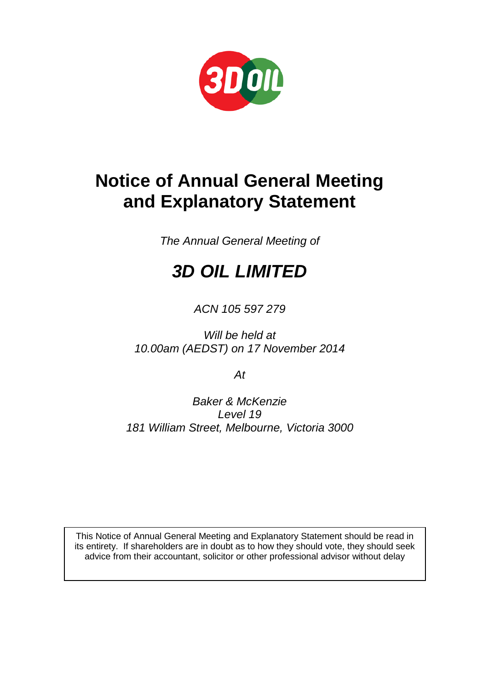

## **Notice of Annual General Meeting and Explanatory Statement**

*The Annual General Meeting of*

# *3D OIL LIMITED*

### *ACN 105 597 279*

*Will be held at 10.00am (AEDST) on 17 November 2014*

*At*

*Baker & McKenzie Level 19 181 William Street, Melbourne, Victoria 3000*

This Notice of Annual General Meeting and Explanatory Statement should be read in its entirety. If shareholders are in doubt as to how they should vote, they should seek advice from their accountant, solicitor or other professional advisor without delay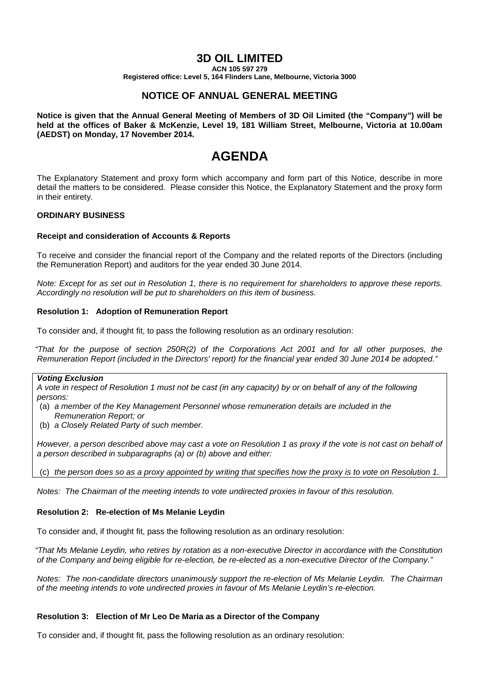#### **3D OIL LIMITED**

**ACN 105 597 279**

**Registered office: Level 5, 164 Flinders Lane, Melbourne, Victoria 3000**

#### **NOTICE OF ANNUAL GENERAL MEETING**

**Notice is given that the Annual General Meeting of Members of 3D Oil Limited (the "Company") will be held at the offices of Baker & McKenzie, Level 19, 181 William Street, Melbourne, Victoria at 10.00am (AEDST) on Monday, 17 November 2014.**

### **AGENDA**

The Explanatory Statement and proxy form which accompany and form part of this Notice, describe in more detail the matters to be considered. Please consider this Notice, the Explanatory Statement and the proxy form in their entirety.

#### **ORDINARY BUSINESS**

#### **Receipt and consideration of Accounts & Reports**

To receive and consider the financial report of the Company and the related reports of the Directors (including the Remuneration Report) and auditors for the year ended 30 June 2014.

*Note: Except for as set out in Resolution 1, there is no requirement for shareholders to approve these reports. Accordingly no resolution will be put to shareholders on this item of business.*

#### **Resolution 1: Adoption of Remuneration Report**

To consider and, if thought fit, to pass the following resolution as an ordinary resolution:

*"That for the purpose of section 250R(2) of the Corporations Act 2001 and for all other purposes, the Remuneration Report (included in the Directors' report) for the financial year ended 30 June 2014 be adopted."*

#### *Voting Exclusion*

*A vote in respect of Resolution 1 must not be cast (in any capacity) by or on behalf of any of the following persons:*

- (a) *a member of the Key Management Personnel whose remuneration details are included in the Remuneration Report; or*
- (b) *a Closely Related Party of such member.*

*However, a person described above may cast a vote on Resolution 1 as proxy if the vote is not cast on behalf of a person described in subparagraphs (a) or (b) above and either:* 

(c) *the person does so as a proxy appointed by writing that specifies how the proxy is to vote on Resolution 1.*

*Notes: The Chairman of the meeting intends to vote undirected proxies in favour of this resolution.*

#### **Resolution 2: Re-election of Ms Melanie Leydin**

To consider and, if thought fit, pass the following resolution as an ordinary resolution:

*"That Ms Melanie Leydin, who retires by rotation as a non-executive Director in accordance with the Constitution of the Company and being eligible for re-election, be re-elected as a non-executive Director of the Company."*

*Notes: The non-candidate directors unanimously support the re-election of Ms Melanie Leydin. The Chairman of the meeting intends to vote undirected proxies in favour of Ms Melanie Leydin's re-election.*

#### **Resolution 3: Election of Mr Leo De Maria as a Director of the Company**

To consider and, if thought fit, pass the following resolution as an ordinary resolution: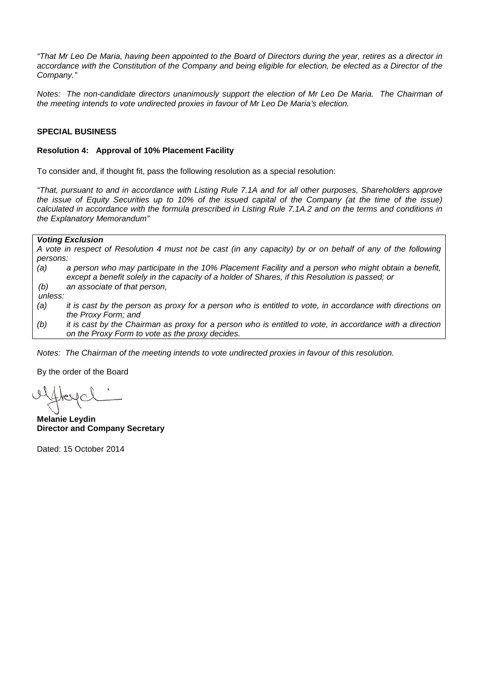*"That Mr Leo De Maria, having been appointed to the Board of Directors during the year, retires as a director in accordance with the Constitution of the Company and being eligible for election, be elected as a Director of the Company."*

*Notes: The non-candidate directors unanimously support the election of Mr Leo De Maria. The Chairman of the meeting intends to vote undirected proxies in favour of Mr Leo De Maria's election.*

#### **SPECIAL BUSINESS**

#### **Resolution 4: Approval of 10% Placement Facility**

To consider and, if thought fit, pass the following resolution as a special resolution:

*"That, pursuant to and in accordance with Listing Rule 7.1A and for all other purposes, Shareholders approve the issue of Equity Securities up to 10% of the issued capital of the Company (at the time of the issue) calculated in accordance with the formula prescribed in Listing Rule 7.1A.2 and on the terms and conditions in the Explanatory Memorandum"*

#### *Voting Exclusion*

*A vote in respect of Resolution 4 must not be cast (in any capacity) by or on behalf of any of the following persons:*

- *(a) a person who may participate in the 10% Placement Facility and a person who might obtain a benefit, except a benefit solely in the capacity of a holder of Shares, if this Resolution is passed; or*
- *(b) an associate of that person,*

*unless:*

- *(a) it is cast by the person as proxy for a person who is entitled to vote, in accordance with directions on the Proxy Form; and*
- *(b) it is cast by the Chairman as proxy for a person who is entitled to vote, in accordance with a direction on the Proxy Form to vote as the proxy decides.*

*Notes: The Chairman of the meeting intends to vote undirected proxies in favour of this resolution.*

By the order of the Board

**Melanie Leydin Director and Company Secretary**

Dated: 15 October 2014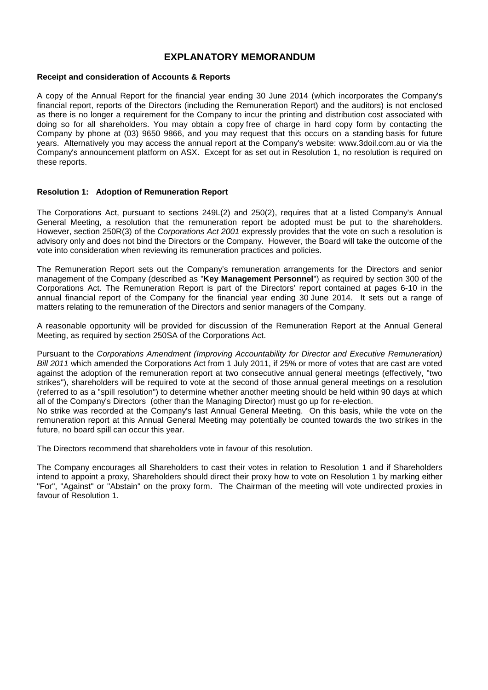#### **EXPLANATORY MEMORANDUM**

#### **Receipt and consideration of Accounts & Reports**

A copy of the Annual Report for the financial year ending 30 June 2014 (which incorporates the Company's financial report, reports of the Directors (including the Remuneration Report) and the auditors) is not enclosed as there is no longer a requirement for the Company to incur the printing and distribution cost associated with doing so for all shareholders. You may obtain a copy free of charge in hard copy form by contacting the Company by phone at (03) 9650 9866, and you may request that this occurs on a standing basis for future years. Alternatively you may access the annual report at the Company's website: www.3doil.com.au or via the Company's announcement platform on ASX. Except for as set out in Resolution 1, no resolution is required on these reports.

#### **Resolution 1: Adoption of Remuneration Report**

The Corporations Act, pursuant to sections 249L(2) and 250(2), requires that at a listed Company's Annual General Meeting, a resolution that the remuneration report be adopted must be put to the shareholders. However, section 250R(3) of the *Corporations Act 2001* expressly provides that the vote on such a resolution is advisory only and does not bind the Directors or the Company. However, the Board will take the outcome of the vote into consideration when reviewing its remuneration practices and policies.

The Remuneration Report sets out the Company's remuneration arrangements for the Directors and senior management of the Company (described as "**Key Management Personnel**") as required by section 300 of the Corporations Act. The Remuneration Report is part of the Directors' report contained at pages 6-10 in the annual financial report of the Company for the financial year ending 30 June 2014. It sets out a range of matters relating to the remuneration of the Directors and senior managers of the Company.

A reasonable opportunity will be provided for discussion of the Remuneration Report at the Annual General Meeting, as required by section 250SA of the Corporations Act.

Pursuant to the *Corporations Amendment (Improving Accountability for Director and Executive Remuneration) Bill 2011* which amended the Corporations Act from 1 July 2011, if 25% or more of votes that are cast are voted against the adoption of the remuneration report at two consecutive annual general meetings (effectively, "two strikes"), shareholders will be required to vote at the second of those annual general meetings on a resolution (referred to as a "spill resolution") to determine whether another meeting should be held within 90 days at which all of the Company's Directors (other than the Managing Director) must go up for re-election.

No strike was recorded at the Company's last Annual General Meeting. On this basis, while the vote on the remuneration report at this Annual General Meeting may potentially be counted towards the two strikes in the future, no board spill can occur this year.

The Directors recommend that shareholders vote in favour of this resolution.

The Company encourages all Shareholders to cast their votes in relation to Resolution 1 and if Shareholders intend to appoint a proxy, Shareholders should direct their proxy how to vote on Resolution 1 by marking either "For", "Against" or "Abstain" on the proxy form. The Chairman of the meeting will vote undirected proxies in favour of Resolution 1.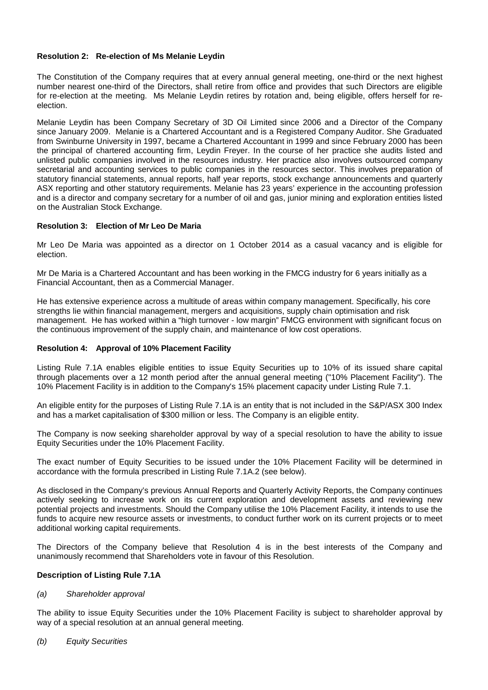#### **Resolution 2: Re-election of Ms Melanie Leydin**

The Constitution of the Company requires that at every annual general meeting, one-third or the next highest number nearest one-third of the Directors, shall retire from office and provides that such Directors are eligible for re-election at the meeting. Ms Melanie Leydin retires by rotation and, being eligible, offers herself for reelection.

Melanie Leydin has been Company Secretary of 3D Oil Limited since 2006 and a Director of the Company since January 2009. Melanie is a Chartered Accountant and is a Registered Company Auditor. She Graduated from Swinburne University in 1997, became a Chartered Accountant in 1999 and since February 2000 has been the principal of chartered accounting firm, Leydin Freyer. In the course of her practice she audits listed and unlisted public companies involved in the resources industry. Her practice also involves outsourced company secretarial and accounting services to public companies in the resources sector. This involves preparation of statutory financial statements, annual reports, half year reports, stock exchange announcements and quarterly ASX reporting and other statutory requirements. Melanie has 23 years' experience in the accounting profession and is a director and company secretary for a number of oil and gas, junior mining and exploration entities listed on the Australian Stock Exchange.

#### **Resolution 3: Election of Mr Leo De Maria**

Mr Leo De Maria was appointed as a director on 1 October 2014 as a casual vacancy and is eligible for election.

Mr De Maria is a Chartered Accountant and has been working in the FMCG industry for 6 years initially as a Financial Accountant, then as a Commercial Manager.

He has extensive experience across a multitude of areas within company management. Specifically, his core strengths lie within financial management, mergers and acquisitions, supply chain optimisation and risk management. He has worked within a "high turnover - low margin" FMCG environment with significant focus on the continuous improvement of the supply chain, and maintenance of low cost operations.

#### **Resolution 4: Approval of 10% Placement Facility**

Listing Rule 7.1A enables eligible entities to issue Equity Securities up to 10% of its issued share capital through placements over a 12 month period after the annual general meeting ("10% Placement Facility"). The 10% Placement Facility is in addition to the Company's 15% placement capacity under Listing Rule 7.1.

An eligible entity for the purposes of Listing Rule 7.1A is an entity that is not included in the S&P/ASX 300 Index and has a market capitalisation of \$300 million or less. The Company is an eligible entity.

The Company is now seeking shareholder approval by way of a special resolution to have the ability to issue Equity Securities under the 10% Placement Facility.

The exact number of Equity Securities to be issued under the 10% Placement Facility will be determined in accordance with the formula prescribed in Listing Rule 7.1A.2 (see below).

As disclosed in the Company's previous Annual Reports and Quarterly Activity Reports, the Company continues actively seeking to increase work on its current exploration and development assets and reviewing new potential projects and investments. Should the Company utilise the 10% Placement Facility, it intends to use the funds to acquire new resource assets or investments, to conduct further work on its current projects or to meet additional working capital requirements.

The Directors of the Company believe that Resolution 4 is in the best interests of the Company and unanimously recommend that Shareholders vote in favour of this Resolution.

#### **Description of Listing Rule 7.1A**

#### *(a) Shareholder approval*

The ability to issue Equity Securities under the 10% Placement Facility is subject to shareholder approval by way of a special resolution at an annual general meeting.

*(b) Equity Securities*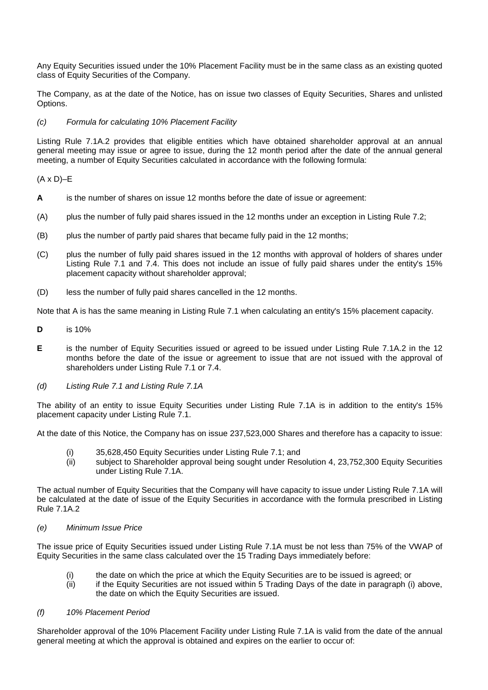Any Equity Securities issued under the 10% Placement Facility must be in the same class as an existing quoted class of Equity Securities of the Company.

The Company, as at the date of the Notice, has on issue two classes of Equity Securities, Shares and unlisted Options.

#### *(c) Formula for calculating 10% Placement Facility*

Listing Rule 7.1A.2 provides that eligible entities which have obtained shareholder approval at an annual general meeting may issue or agree to issue, during the 12 month period after the date of the annual general meeting, a number of Equity Securities calculated in accordance with the following formula:

#### $(A \times D)$ –E

- **A** is the number of shares on issue 12 months before the date of issue or agreement:
- (A) plus the number of fully paid shares issued in the 12 months under an exception in Listing Rule 7.2;
- (B) plus the number of partly paid shares that became fully paid in the 12 months;
- (C) plus the number of fully paid shares issued in the 12 months with approval of holders of shares under Listing Rule 7.1 and 7.4. This does not include an issue of fully paid shares under the entity's 15% placement capacity without shareholder approval;
- (D) less the number of fully paid shares cancelled in the 12 months.

Note that A is has the same meaning in Listing Rule 7.1 when calculating an entity's 15% placement capacity.

- **D** is 10%
- **E** is the number of Equity Securities issued or agreed to be issued under Listing Rule 7.1A.2 in the 12 months before the date of the issue or agreement to issue that are not issued with the approval of shareholders under Listing Rule 7.1 or 7.4.
- *(d) Listing Rule 7.1 and Listing Rule 7.1A*

The ability of an entity to issue Equity Securities under Listing Rule 7.1A is in addition to the entity's 15% placement capacity under Listing Rule 7.1.

At the date of this Notice, the Company has on issue 237,523,000 Shares and therefore has a capacity to issue:

- (i) 35,628,450 Equity Securities under Listing Rule 7.1; and
- (ii) subject to Shareholder approval being sought under Resolution 4, 23,752,300 Equity Securities under Listing Rule 7.1A.

The actual number of Equity Securities that the Company will have capacity to issue under Listing Rule 7.1A will be calculated at the date of issue of the Equity Securities in accordance with the formula prescribed in Listing Rule 7.1A.2

#### *(e) Minimum Issue Price*

The issue price of Equity Securities issued under Listing Rule 7.1A must be not less than 75% of the VWAP of Equity Securities in the same class calculated over the 15 Trading Days immediately before:

- (i) the date on which the price at which the Equity Securities are to be issued is agreed; or
- (ii) if the Equity Securities are not issued within 5 Trading Days of the date in paragraph (i) above, the date on which the Equity Securities are issued.

#### *(f) 10% Placement Period*

Shareholder approval of the 10% Placement Facility under Listing Rule 7.1A is valid from the date of the annual general meeting at which the approval is obtained and expires on the earlier to occur of: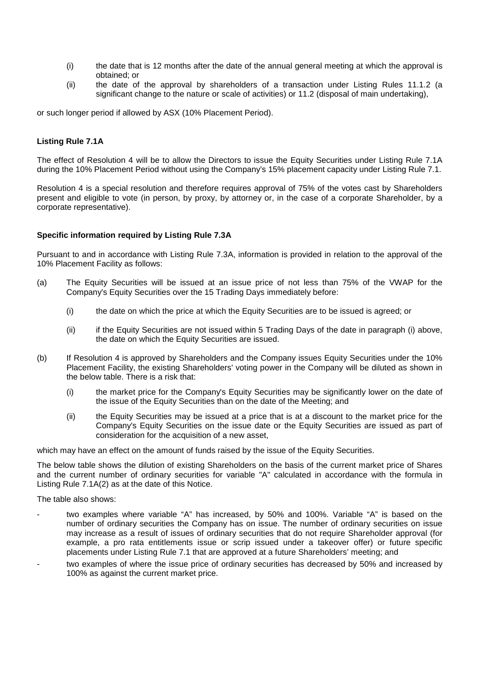- (i) the date that is 12 months after the date of the annual general meeting at which the approval is obtained; or
- (ii) the date of the approval by shareholders of a transaction under Listing Rules 11.1.2 (a significant change to the nature or scale of activities) or 11.2 (disposal of main undertaking),

or such longer period if allowed by ASX (10% Placement Period).

#### **Listing Rule 7.1A**

The effect of Resolution 4 will be to allow the Directors to issue the Equity Securities under Listing Rule 7.1A during the 10% Placement Period without using the Company's 15% placement capacity under Listing Rule 7.1.

Resolution 4 is a special resolution and therefore requires approval of 75% of the votes cast by Shareholders present and eligible to vote (in person, by proxy, by attorney or, in the case of a corporate Shareholder, by a corporate representative).

#### **Specific information required by Listing Rule 7.3A**

Pursuant to and in accordance with Listing Rule 7.3A, information is provided in relation to the approval of the 10% Placement Facility as follows:

- (a) The Equity Securities will be issued at an issue price of not less than 75% of the VWAP for the Company's Equity Securities over the 15 Trading Days immediately before:
	- (i) the date on which the price at which the Equity Securities are to be issued is agreed; or
	- (ii) if the Equity Securities are not issued within 5 Trading Days of the date in paragraph (i) above, the date on which the Equity Securities are issued.
- (b) If Resolution 4 is approved by Shareholders and the Company issues Equity Securities under the 10% Placement Facility, the existing Shareholders' voting power in the Company will be diluted as shown in the below table. There is a risk that:
	- (i) the market price for the Company's Equity Securities may be significantly lower on the date of the issue of the Equity Securities than on the date of the Meeting; and
	- (ii) the Equity Securities may be issued at a price that is at a discount to the market price for the Company's Equity Securities on the issue date or the Equity Securities are issued as part of consideration for the acquisition of a new asset,

which may have an effect on the amount of funds raised by the issue of the Equity Securities.

The below table shows the dilution of existing Shareholders on the basis of the current market price of Shares and the current number of ordinary securities for variable "A" calculated in accordance with the formula in Listing Rule 7.1A(2) as at the date of this Notice.

The table also shows:

- two examples where variable "A" has increased, by 50% and 100%. Variable "A" is based on the number of ordinary securities the Company has on issue. The number of ordinary securities on issue may increase as a result of issues of ordinary securities that do not require Shareholder approval (for example, a pro rata entitlements issue or scrip issued under a takeover offer) or future specific placements under Listing Rule 7.1 that are approved at a future Shareholders' meeting; and
- two examples of where the issue price of ordinary securities has decreased by 50% and increased by 100% as against the current market price.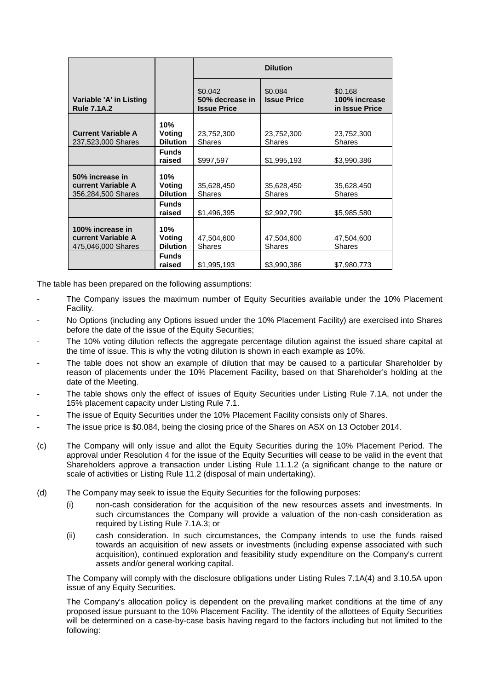|                                                                     |                                  | <b>Dilution</b>                                  |                               |                                            |  |
|---------------------------------------------------------------------|----------------------------------|--------------------------------------------------|-------------------------------|--------------------------------------------|--|
| Variable 'A' in Listing<br><b>Rule 7.1A.2</b>                       |                                  | \$0.042<br>50% decrease in<br><b>Issue Price</b> | \$0.084<br><b>Issue Price</b> | \$0.168<br>100% increase<br>in Issue Price |  |
| <b>Current Variable A</b><br>237,523,000 Shares                     | 10%<br>Voting<br><b>Dilution</b> | 23,752,300<br><b>Shares</b>                      | 23,752,300<br><b>Shares</b>   | 23,752,300<br><b>Shares</b>                |  |
|                                                                     | <b>Funds</b><br>raised           | \$997,597                                        | \$1,995,193                   | \$3,990,386                                |  |
| 50% increase in<br><b>current Variable A</b><br>356,284,500 Shares  | 10%<br>Voting<br><b>Dilution</b> | 35,628,450<br><b>Shares</b>                      | 35,628,450<br><b>Shares</b>   | 35,628,450<br><b>Shares</b>                |  |
|                                                                     | <b>Funds</b><br>raised           | \$1,496,395                                      | \$2,992,790                   | \$5,985,580                                |  |
| 100% increase in<br><b>current Variable A</b><br>475,046,000 Shares | 10%<br>Voting<br><b>Dilution</b> | 47,504,600<br><b>Shares</b>                      | 47,504,600<br><b>Shares</b>   | 47,504,600<br><b>Shares</b>                |  |
|                                                                     | <b>Funds</b><br>raised           | \$1,995,193                                      | \$3,990,386                   | \$7,980,773                                |  |

The table has been prepared on the following assumptions:

- The Company issues the maximum number of Equity Securities available under the 10% Placement Facility.
- No Options (including any Options issued under the 10% Placement Facility) are exercised into Shares before the date of the issue of the Equity Securities:
- The 10% voting dilution reflects the aggregate percentage dilution against the issued share capital at the time of issue. This is why the voting dilution is shown in each example as 10%.
- The table does not show an example of dilution that may be caused to a particular Shareholder by reason of placements under the 10% Placement Facility, based on that Shareholder's holding at the date of the Meeting.
- The table shows only the effect of issues of Equity Securities under Listing Rule 7.1A, not under the 15% placement capacity under Listing Rule 7.1.
- The issue of Equity Securities under the 10% Placement Facility consists only of Shares.
- The issue price is \$0.084, being the closing price of the Shares on ASX on 13 October 2014.
- (c) The Company will only issue and allot the Equity Securities during the 10% Placement Period. The approval under Resolution 4 for the issue of the Equity Securities will cease to be valid in the event that Shareholders approve a transaction under Listing Rule 11.1.2 (a significant change to the nature or scale of activities or Listing Rule 11.2 (disposal of main undertaking).
- (d) The Company may seek to issue the Equity Securities for the following purposes:
	- (i) non-cash consideration for the acquisition of the new resources assets and investments. In such circumstances the Company will provide a valuation of the non-cash consideration as required by Listing Rule 7.1A.3; or
	- (ii) cash consideration. In such circumstances, the Company intends to use the funds raised towards an acquisition of new assets or investments (including expense associated with such acquisition), continued exploration and feasibility study expenditure on the Company's current assets and/or general working capital.

The Company will comply with the disclosure obligations under Listing Rules 7.1A(4) and 3.10.5A upon issue of any Equity Securities.

The Company's allocation policy is dependent on the prevailing market conditions at the time of any proposed issue pursuant to the 10% Placement Facility. The identity of the allottees of Equity Securities will be determined on a case-by-case basis having regard to the factors including but not limited to the following: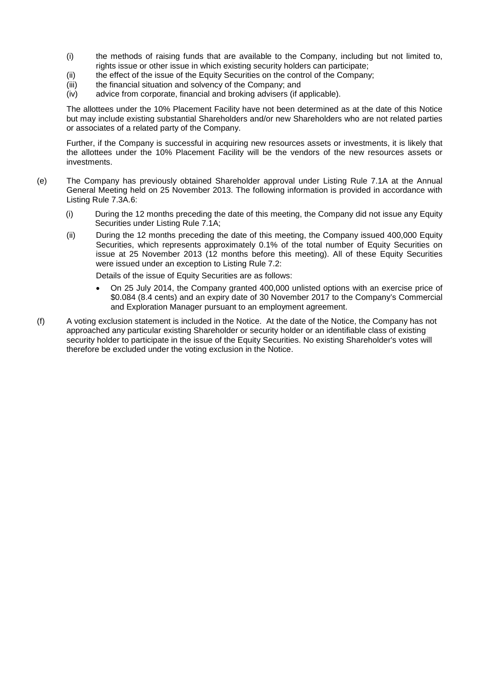- (i) the methods of raising funds that are available to the Company, including but not limited to, rights issue or other issue in which existing security holders can participate;
- (ii) the effect of the issue of the Equity Securities on the control of the Company;
- (iii) the financial situation and solvency of the Company; and
- (iv) advice from corporate, financial and broking advisers (if applicable).

The allottees under the 10% Placement Facility have not been determined as at the date of this Notice but may include existing substantial Shareholders and/or new Shareholders who are not related parties or associates of a related party of the Company.

Further, if the Company is successful in acquiring new resources assets or investments, it is likely that the allottees under the 10% Placement Facility will be the vendors of the new resources assets or investments.

- (e) The Company has previously obtained Shareholder approval under Listing Rule 7.1A at the Annual General Meeting held on 25 November 2013. The following information is provided in accordance with Listing Rule 7.3A.6:
	- (i) During the 12 months preceding the date of this meeting, the Company did not issue any Equity Securities under Listing Rule 7.1A;
	- (ii) During the 12 months preceding the date of this meeting, the Company issued 400,000 Equity Securities, which represents approximately 0.1% of the total number of Equity Securities on issue at 25 November 2013 (12 months before this meeting). All of these Equity Securities were issued under an exception to Listing Rule 7.2:

Details of the issue of Equity Securities are as follows:

- On 25 July 2014, the Company granted 400,000 unlisted options with an exercise price of \$0.084 (8.4 cents) and an expiry date of 30 November 2017 to the Company's Commercial and Exploration Manager pursuant to an employment agreement.
- (f) A voting exclusion statement is included in the Notice. At the date of the Notice, the Company has not approached any particular existing Shareholder or security holder or an identifiable class of existing security holder to participate in the issue of the Equity Securities. No existing Shareholder's votes will therefore be excluded under the voting exclusion in the Notice.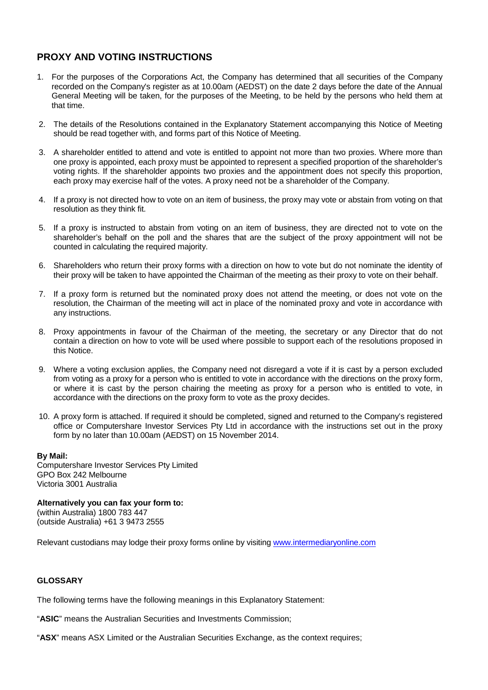### **PROXY AND VOTING INSTRUCTIONS**

- 1. For the purposes of the Corporations Act, the Company has determined that all securities of the Company recorded on the Company's register as at 10.00am (AEDST) on the date 2 days before the date of the Annual General Meeting will be taken, for the purposes of the Meeting, to be held by the persons who held them at that time.
- 2. The details of the Resolutions contained in the Explanatory Statement accompanying this Notice of Meeting should be read together with, and forms part of this Notice of Meeting.
- 3. A shareholder entitled to attend and vote is entitled to appoint not more than two proxies. Where more than one proxy is appointed, each proxy must be appointed to represent a specified proportion of the shareholder's voting rights. If the shareholder appoints two proxies and the appointment does not specify this proportion, each proxy may exercise half of the votes. A proxy need not be a shareholder of the Company.
- 4. If a proxy is not directed how to vote on an item of business, the proxy may vote or abstain from voting on that resolution as they think fit.
- 5. If a proxy is instructed to abstain from voting on an item of business, they are directed not to vote on the shareholder's behalf on the poll and the shares that are the subject of the proxy appointment will not be counted in calculating the required majority.
- 6. Shareholders who return their proxy forms with a direction on how to vote but do not nominate the identity of their proxy will be taken to have appointed the Chairman of the meeting as their proxy to vote on their behalf.
- 7. If a proxy form is returned but the nominated proxy does not attend the meeting, or does not vote on the resolution, the Chairman of the meeting will act in place of the nominated proxy and vote in accordance with any instructions.
- 8. Proxy appointments in favour of the Chairman of the meeting, the secretary or any Director that do not contain a direction on how to vote will be used where possible to support each of the resolutions proposed in this Notice.
- 9. Where a voting exclusion applies, the Company need not disregard a vote if it is cast by a person excluded from voting as a proxy for a person who is entitled to vote in accordance with the directions on the proxy form, or where it is cast by the person chairing the meeting as proxy for a person who is entitled to vote, in accordance with the directions on the proxy form to vote as the proxy decides.
- 10. A proxy form is attached. If required it should be completed, signed and returned to the Company's registered office or Computershare Investor Services Pty Ltd in accordance with the instructions set out in the proxy form by no later than 10.00am (AEDST) on 15 November 2014.

#### **By Mail:**

Computershare Investor Services Pty Limited GPO Box 242 Melbourne Victoria 3001 Australia

**Alternatively you can fax your form to:** (within Australia) 1800 783 447 (outside Australia) +61 3 9473 2555

Relevant custodians may lodge their proxy forms online by visiting [www.intermediaryonline.com](http://www.intermediaryonline.com/)

#### **GLOSSARY**

The following terms have the following meanings in this Explanatory Statement:

"**ASIC**" means the Australian Securities and Investments Commission;

"**ASX**" means ASX Limited or the Australian Securities Exchange, as the context requires;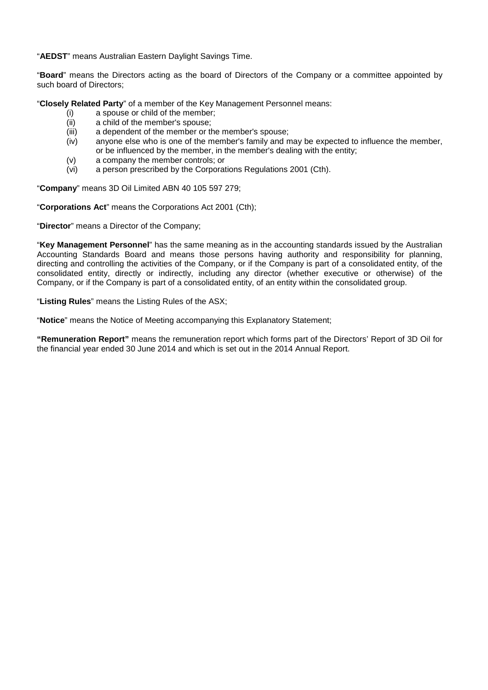"**AEDST**" means Australian Eastern Daylight Savings Time.

"**Board**" means the Directors acting as the board of Directors of the Company or a committee appointed by such board of Directors;

"**Closely Related Party**" of a member of the Key Management Personnel means:

- (i) a spouse or child of the member;
- $(iii)$  a child of the member's spouse;<br> $(iii)$  a dependent of the member or the
- a dependent of the member or the member's spouse;
- (iv) anyone else who is one of the member's family and may be expected to influence the member, or be influenced by the member, in the member's dealing with the entity;
- (v) a company the member controls; or<br>(vi) a person prescribed by the Corporat
- a person prescribed by the Corporations Regulations 2001 (Cth).

"**Company**" means 3D Oil Limited ABN 40 105 597 279;

"**Corporations Act**" means the Corporations Act 2001 (Cth);

"**Director**" means a Director of the Company;

"**Key Management Personnel**" has the same meaning as in the accounting standards issued by the Australian Accounting Standards Board and means those persons having authority and responsibility for planning, directing and controlling the activities of the Company, or if the Company is part of a consolidated entity, of the consolidated entity, directly or indirectly, including any director (whether executive or otherwise) of the Company, or if the Company is part of a consolidated entity, of an entity within the consolidated group.

"**Listing Rules**" means the Listing Rules of the ASX;

"**Notice**" means the Notice of Meeting accompanying this Explanatory Statement;

**"Remuneration Report"** means the remuneration report which forms part of the Directors' Report of 3D Oil for the financial year ended 30 June 2014 and which is set out in the 2014 Annual Report.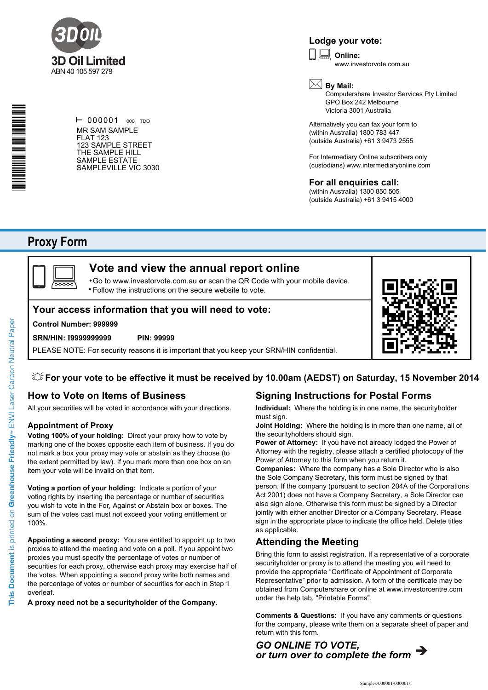

#### **Lodge your vote:**

**Online:** www.investorvote.com.au  $\boxed{\Box}$ 

\*S000001Q01\*

 $\vdash$  000001 000 TDO MR SAM SAMPLE FLAT 123 123 SAMPLE STREET THE SAMPLE HILL SAMPLE ESTATE SAMPLEVILLE VIC 3030

### **By Mail:**

Computershare Investor Services Pty Limited GPO Box 242 Melbourne Victoria 3001 Australia

Alternatively you can fax your form to (within Australia) 1800 783 447 (outside Australia) +61 3 9473 2555

For Intermediary Online subscribers only (custodians) www.intermediaryonline.com

**For all enquiries call:**

(within Australia) 1300 850 505 (outside Australia) +61 3 9415 4000

## **Proxy Form**



### **Vote and view the annual report online**

Go to www.investorvote.com.au **or** scan the QR Code with your mobile device. Follow the instructions on the secure website to vote. •

#### **Your access information that you will need to vote:**

#### **Control Number: 999999**

#### **SRN/HIN: I9999999999 PIN: 99999**

PLEASE NOTE: For security reasons it is important that you keep your SRN/HIN confidential.



### **How to Vote on Items of Business**

All your securities will be voted in accordance with your directions.

#### **Appointment of Proxy**

**Voting 100% of your holding:** Direct your proxy how to vote by marking one of the boxes opposite each item of business. If you do not mark a box your proxy may vote or abstain as they choose (to the extent permitted by law). If you mark more than one box on an item your vote will be invalid on that item.

**Voting a portion of your holding:** Indicate a portion of your voting rights by inserting the percentage or number of securities you wish to vote in the For, Against or Abstain box or boxes. The sum of the votes cast must not exceed your voting entitlement or 100%.

**Appointing a second proxy:** You are entitled to appoint up to two proxies to attend the meeting and vote on a poll. If you appoint two proxies you must specify the percentage of votes or number of securities for each proxy, otherwise each proxy may exercise half of the votes. When appointing a second proxy write both names and the percentage of votes or number of securities for each in Step 1 overleaf.

**A proxy need not be a securityholder of the Company.**

### **Signing Instructions for Postal Forms**

**Individual:** Where the holding is in one name, the securityholder must sign.

**Joint Holding:** Where the holding is in more than one name, all of the securityholders should sign.

**Power of Attorney:** If you have not already lodged the Power of Attorney with the registry, please attach a certified photocopy of the Power of Attorney to this form when you return it.

**Companies:** Where the company has a Sole Director who is also the Sole Company Secretary, this form must be signed by that person. If the company (pursuant to section 204A of the Corporations Act 2001) does not have a Company Secretary, a Sole Director can also sign alone. Otherwise this form must be signed by a Director jointly with either another Director or a Company Secretary. Please sign in the appropriate place to indicate the office held. Delete titles as applicable.

#### **Attending the Meeting**

Bring this form to assist registration. If a representative of a corporate securityholder or proxy is to attend the meeting you will need to provide the appropriate "Certificate of Appointment of Corporate Representative" prior to admission. A form of the certificate may be obtained from Computershare or online at www.investorcentre.com under the help tab, "Printable Forms".

**Comments & Questions:** If you have any comments or questions for the company, please write them on a separate sheet of paper and return with this form.

*GO ONLINE TO VOTE, or turn over to complete the form*